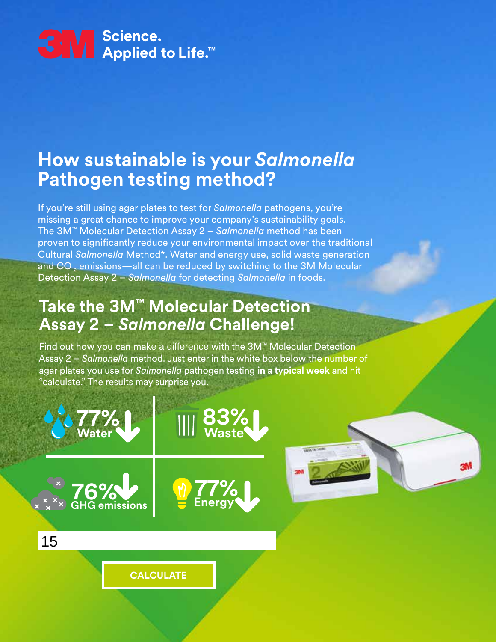

## **How sustainable is your** *Salmonella* **Pathogen testing method?**

If you're still using agar plates to test for *Salmonella* pathogens, you're missing a great chance to improve your company's sustainability goals. The 3M™ Molecular Detection Assay 2 – *Salmonella* method has been proven to significantly reduce your environmental impact over the traditional Cultural *Salmonella* Method\*. Water and energy use, solid waste generation and CO  $_{\textrm{\tiny{2}}}$  emissions—all can be reduced by switching to the 3M Molecular Detection Assay 2 – *Salmonella* for detecting *Salmonella* in foods.

## **Take the 3M™ Molecular Detection Assay 2 –** *Salmonella* **Challenge!**

Find out how you can make a difference with the 3M™ Molecular Detection Assay 2 – *Salmonella* method. Just enter in the white box below the number of agar plates you use for *Salmonella* pathogen testing **in a typical week** and hit "calculate." The results may surprise you.



**CALCULATE** 

**77%**

**77%**